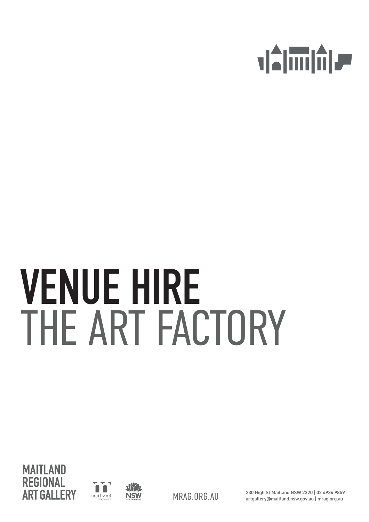

# VENUE HIRE THE ART FACTORY





230 High St Maitland NSW 2320 | 02 4934 9859 MRAG.ORG.AU artgallery@maitland.nsw.gov.au | mrag.org.au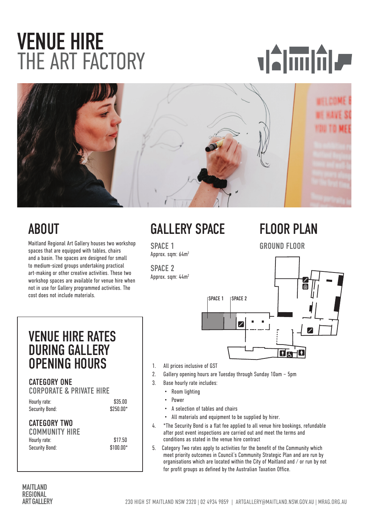# VENUE HIRE THE ART FACTORY





Maitland Regional Art Gallery houses two workshop spaces that are equipped with tables, chairs and a basin. The spaces are designed for small to medium-sized groups undertaking practical art-making or other creative activities. These two workshop spaces are available for venue hire when not in use for Gallery programmed activities. The cost does not include materials.

## ABOUT GALLERY SPACE

SPACE 1 Approx. sqm: 64m2

SPACE 2 Approx. sqm: 44m2

# FLOOR PLAN

GROUND FLOOR



- 1. All prices inclusive of GST
- 2. Gallery opening hours are Tuesday through Sunday 10am 5pm
- 3. Base hourly rate includes:
	- Room lighting
	- Power
	- A selection of tables and chairs
	- All materials and equipment to be supplied by hirer.
- 4. \*The Security Bond is a flat fee applied to all venue hire bookings, refundable after post event inspections are carried out and meet the terms and conditions as stated in the venue hire contract
- 5. Category Two rates apply to activities for the benefit of the Community which meet priority outcomes in Council's Community Strategic Plan and are run by organisations which are located within the City of Maitland and / or run by not for profit groups as defined by the Australian Taxation Office.

### VENUE HIRE RATES DURING GALLERY OPENING HOURS

### CATEGORY ONE CORPORATE & PRIVATE HIRE

Hourly rate:  $$35.00$ Security Bond:  $$250.00*$ 

### CATEGORY TWO

COMMUNITY HIRE Hourly rate: \$17.50 Security Bond: \$100.00\*